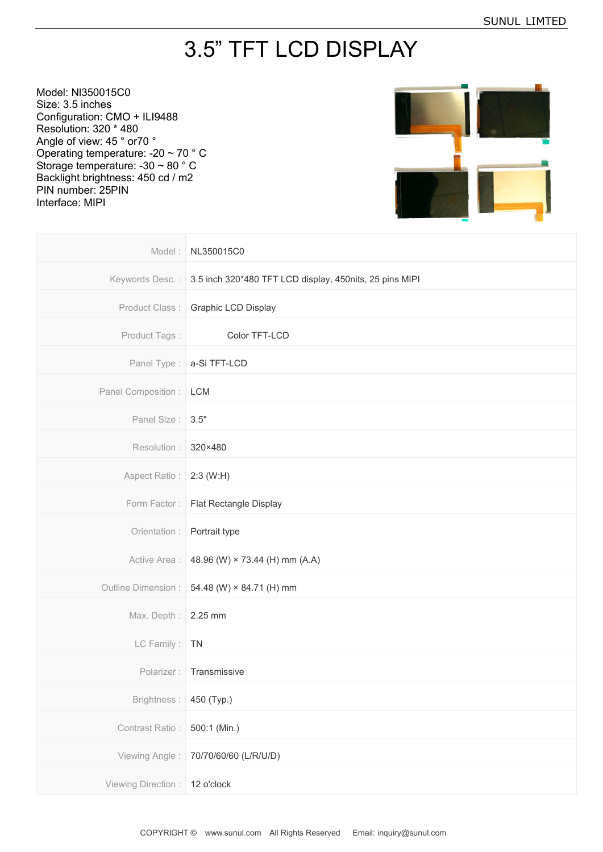## 3.5" TFT LCD DISPLAY

Model: Nl350015C0 Size: 3.5 inches Configuration: CMO + ILI9488 Resolution: 320 \* 480 Angle of view: 45 ° or70 ° Operating temperature: -20 ~ 70 ° C Storage temperature: -30 ~ 80 ° C Backlight brightness: 450 cd / m2 PIN number: 25PIN Interface: MIPI



| Model:                    | NL350015C0                                              |
|---------------------------|---------------------------------------------------------|
| Keywords Desc.:           | 3.5 inch 320*480 TFT LCD display, 450nits, 25 pins MIPI |
| Product Class:            | Graphic LCD Display                                     |
| Product Tags:             | Color TFT-LCD                                           |
| Panel Type:               | a-Si TFT-LCD                                            |
| Panel Composition :   LCM |                                                         |
| Panel Size:               | 3.5"                                                    |
| Resolution:               | 320×480                                                 |
| Aspect Ratio:             | 2:3 (W:H)                                               |
| Form Factor:              | Flat Rectangle Display                                  |
| Orientation :             | Portrait type                                           |
| Active Area :             | 48.96 (W) × 73.44 (H) mm (A.A)                          |
| Outline Dimension :       | 54.48 (W) × 84.71 (H) mm                                |
| Max. Depth: 2.25 mm       |                                                         |
| LC Family:                | <b>TN</b>                                               |
| Polarizer:                | Transmissive                                            |
| Brightness:               | 450 (Typ.)                                              |
| Contrast Ratio:           | 500:1 (Min.)                                            |
| Viewing Angle:            | 70/70/60/60 (L/R/U/D)                                   |
| Viewing Direction :       | 12 o'clock                                              |